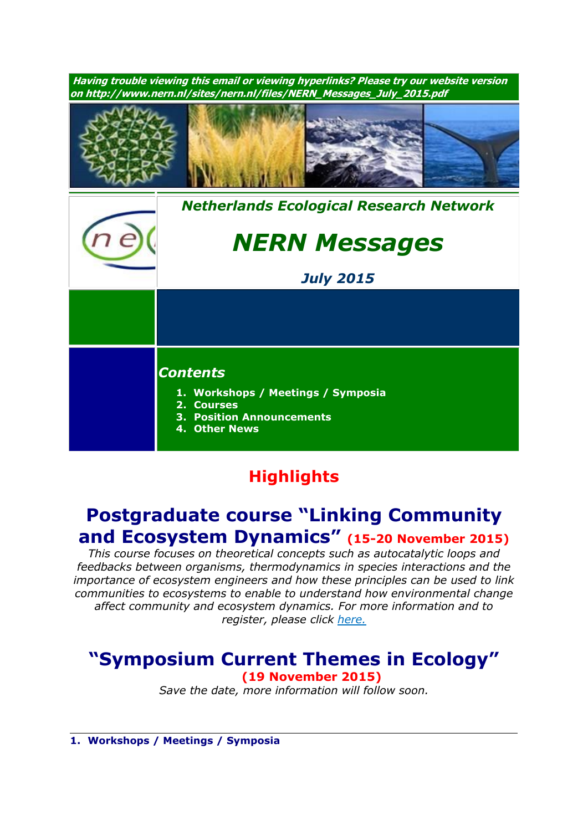

## **Highlights**

# **Postgraduate course "Linking Community and Ecosystem Dynamics" (15-20 November 2015)**

*This course focuses on theoretical concepts such as autocatalytic loops and feedbacks between organisms, thermodynamics in species interactions and the importance of ecosystem engineers and how these principles can be used to link communities to ecosystems to enable to understand how environmental change affect community and ecosystem dynamics. For more information and to register, please click [here.](http://www.rug.nl/research/ecology-and-evolution/phdcourses/communityecosystemdynamics2015)*

# **"Symposium Current Themes in Ecology"**

**(19 November 2015)** *Save the date, more information will follow soon.*

**1. Workshops / Meetings / Symposia**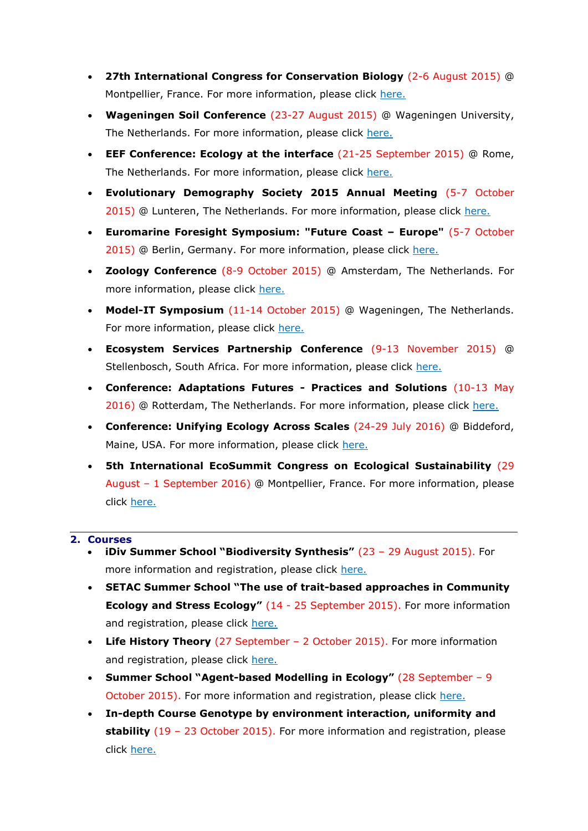- **27th International Congress for Conservation Biology** (2-6 August 2015) @ Montpellier, France. For more information, please click [here.](http://www.iccb-eccb2015.org/)
- **Wageningen Soil Conference** (23-27 August 2015) @ Wageningen University, The Netherlands. For more information, please click [here.](http://www.wageningenur.nl/en/Research-Results/Projects-and-programmes/Wageningen-Soil-Conference.htm)
- **EEF Conference: Ecology at the interface** (21-25 September 2015) @ Rome, The Netherlands. For more information, please click [here.](http://www.ecologyatinterface.eu/)
- **Evolutionary Demography Society 2015 Annual Meeting** (5-7 October 2015) @ Lunteren, The Netherlands. For more information, please click [here.](http://www.aanmelder.nl/eds2015/subscribe)
- **Euromarine Foresight Symposium: "Future Coast – Europe"** (5-7 October 2015) @ Berlin, Germany. For more information, please click [here.](http://www.io-warnemuende.de/future-coast-home.html)
- **Zoology Conference** (8-9 October 2015) @ Amsterdam, The Netherlands. For more information, please click [here.](http://www.zoology2015.nl/)
- **Model-IT Symposium** (11-14 October 2015) @ Wageningen, The Netherlands. For more information, please click [here.](http://www.model-it.info/)
- **Ecosystem Services Partnership Conference** (9-13 November 2015) @ Stellenbosch, South Africa. For more information, please click [here.](http://www.espconference.org/espconference2015#.VONOuC5SU5g)
- **Conference: Adaptations Futures - Practices and Solutions** (10-13 May 2016) @ Rotterdam, The Netherlands. For more information, please click [here.](http://www.adaptationfutures2016.org/)
- **Conference: Unifying Ecology Across Scales** (24-29 July 2016) @ Biddeford, Maine, USA. For more information, please click [here.](https://www.grc.org/programs.aspx?id=13261)
- **5th International EcoSummit Congress on Ecological Sustainability** (29 August – 1 September 2016) @ Montpellier, France. For more information, please click [here.](http://www.ecosummit2016.org/)

#### **2. Courses**

- **iDiv Summer School "Biodiversity Synthesis"** (23 29 August 2015). For more information and registration, please click [here.](http://www.idiv.de/en/ydiv/idiv-summer-school)
- **SETAC Summer School "The use of trait-based approaches in Community Ecology and Stress Ecology"** (14 - 25 September 2015). For more information and registration, please click [here.](http://nern.nl/sites/nern.nl/files/SETAC_course_2015.pdf)
- **Life History Theory** (27 September 2 October 2015). For more information and registration, please click [here.](http://www.rug.nl/research/ecology-and-evolution/phdcourses/lifehistorytheory?lang=en)
- **Summer School "Agent-based Modelling in Ecology"** (28 September 9 October 2015). For more information and registration, please click [here.](http://nern.nl/sites/nern.nl/files/ABM%20course%20Coimbra%202015%20flyer.pdf)
- **In-depth Course Genotype by environment interaction, uniformity and stability** (19 – 23 October 2015). For more information and registration, please click [here.](http://www.wageningenur.nl/nl/activiteit/Indepth-Course-Genotype-by-environment-interaction-uniformity-and-stability.htm)